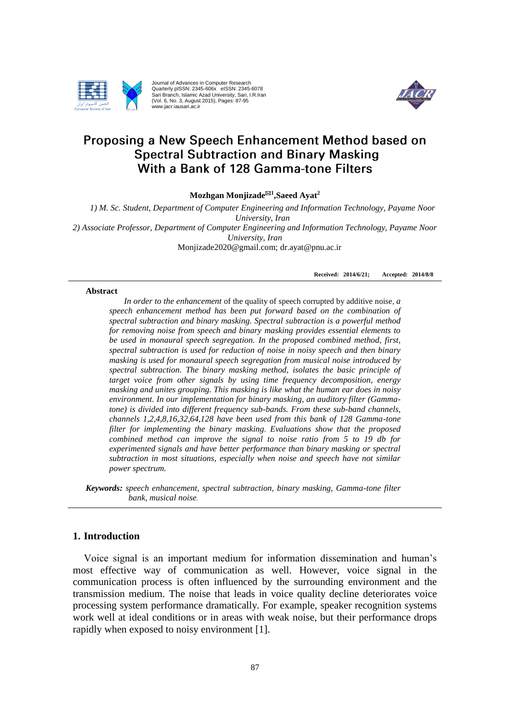

Journal of Advances in Computer Research Quarterly pISSN: 2345-606x eISSN: 2345-6078 Sari Branch, Islamic Azad University, Sari, I.R.Iran (Vol. 6, No. 3, August 2015), Pages: 87-95 www.jacr.iausari.ac.ir



# Proposing a New Speech Enhancement Method based on **Spectral Subtraction and Binary Masking** With a Bank of 128 Gamma-tone Filters

**Mozhgan Monjizade<sup>1</sup> [,Saeed Ayat](http://jacr.iausari.ac.ir/?_action=article&au=19879&_au=Hossein++Nezamabadi-pour)<sup>2</sup>**

*1) M. Sc. Student, Department of Computer Engineering and Information Technology, Payame Noor University, Iran 2) Associate Professor, Department of Computer Engineering and Information Technology, Payame Noor University, Iran* Monjizade2020@gmail.com; dr.ayat@pnu.ac.ir

**Received: 2014/6/21; Accepted: 2014/8/8**

#### **Abstract**

*In order to the enhancement* of the quality of speech corrupted by additive noise*, a speech enhancement method has been put forward based on the combination of spectral subtraction and binary masking. Spectral subtraction is a powerful method for removing noise from speech and binary masking provides essential elements to be used in monaural speech segregation. In the proposed combined method, first, spectral subtraction is used for reduction of noise in noisy speech and then binary masking is used for monaural speech segregation from musical noise introduced by spectral subtraction. The binary masking method, isolates the basic principle of target voice from other signals by using time frequency decomposition, energy masking and unites grouping. This masking is like what the human ear does in noisy environment. In our implementation for binary masking, an auditory filter (Gammatone) is divided into different frequency sub-bands. From these sub-band channels, channels 1,2,4,8,16,32,64,128 have been used from this bank of 128 Gamma-tone filter for implementing the binary masking. Evaluations show that the proposed combined method can improve the signal to noise ratio from 5 to 19 db for experimented signals and have better performance than binary masking or spectral subtraction in most situations, especially when noise and speech have not similar power spectrum.*

*Keywords: speech enhancement, spectral subtraction, binary masking, Gamma-tone filter bank, musical noise.*

# **1. Introduction**

Voice signal is an important medium for information dissemination and human's most effective way of communication as well. However, voice signal in the communication process is often influenced by the surrounding environment and the transmission medium. The noise that leads in voice quality decline deteriorates voice processing system performance dramatically. For example, speaker recognition systems work well at ideal conditions or in areas with weak noise, but their performance drops rapidly when exposed to noisy environment [1].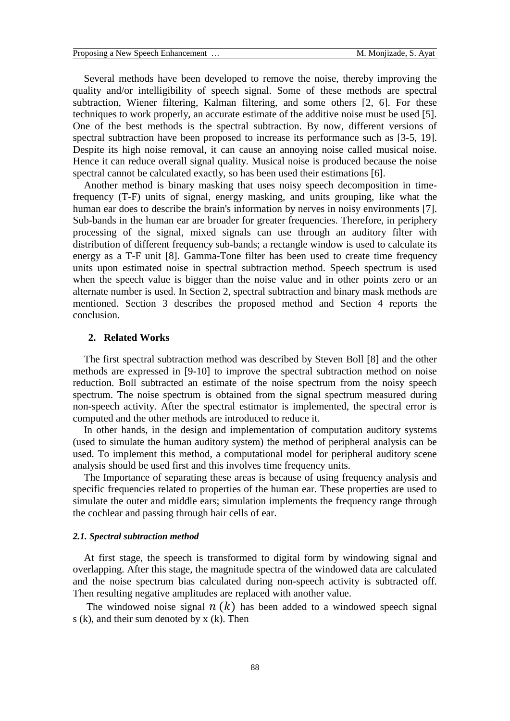Several methods have been developed to remove the noise, thereby improving the quality and/or intelligibility of speech signal. Some of these methods are spectral subtraction, Wiener filtering, Kalman filtering, and some others [2, 6]. For these techniques to work properly, an accurate estimate of the additive noise must be used [5]. One of the best methods is the spectral subtraction. By now, different versions of spectral subtraction have been proposed to increase its performance such as [3-5, 19]. Despite its high noise removal, it can cause an annoying noise called musical noise. Hence it can reduce overall signal quality. Musical noise is produced because the noise spectral cannot be calculated exactly, so has been used their estimations [6].

Another method is binary masking that uses noisy speech decomposition in timefrequency (T-F) units of signal, energy masking, and units grouping, like what the human ear does to describe the brain's information by nerves in noisy environments [7]. Sub-bands in the human ear are broader for greater frequencies. Therefore, in periphery processing of the signal, mixed signals can use through an auditory filter with distribution of different frequency sub-bands; a rectangle window is used to calculate its energy as a T-F unit [8]. Gamma-Tone filter has been used to create time frequency units upon estimated noise in spectral subtraction method. Speech spectrum is used when the speech value is bigger than the noise value and in other points zero or an alternate number is used. In Section 2, spectral subtraction and binary mask methods are mentioned. Section 3 describes the proposed method and Section 4 reports the conclusion.

# **2. Related Works**

The first spectral subtraction method was described by Steven Boll [8] and the other methods are expressed in [9-10] to improve the spectral subtraction method on noise reduction. Boll subtracted an estimate of the noise spectrum from the noisy speech spectrum. The noise spectrum is obtained from the signal spectrum measured during non-speech activity. After the spectral estimator is implemented, the spectral error is computed and the other methods are introduced to reduce it.

In other hands, in the design and implementation of computation auditory systems (used to simulate the human auditory system) the method of peripheral analysis can be used. To implement this method, a computational model for peripheral auditory scene analysis should be used first and this involves time frequency units.

The Importance of separating these areas is because of using frequency analysis and specific frequencies related to properties of the human ear. These properties are used to simulate the outer and middle ears; simulation implements the frequency range through the cochlear and passing through hair cells of ear.

#### *2.1. Spectral subtraction method*

At first stage, the speech is transformed to digital form by windowing signal and overlapping. After this stage, the magnitude spectra of the windowed data are calculated and the noise spectrum bias calculated during non-speech activity is subtracted off. Then resulting negative amplitudes are replaced with another value.

The windowed noise signal  $n(k)$  has been added to a windowed speech signal s (k), and their sum denoted by x (k). Then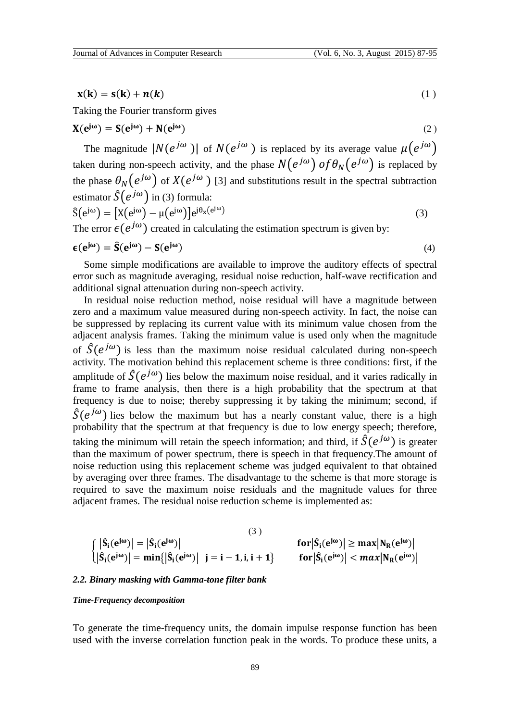$$
\mathbf{x}(\mathbf{k}) = \mathbf{s}(\mathbf{k}) + \mathbf{n}(\mathbf{k}) \tag{1}
$$

Taking the Fourier transform gives

$$
\mathbf{X}(\mathbf{e}^{\mathbf{j}\omega}) = \mathbf{S}(\mathbf{e}^{\mathbf{j}\omega}) + \mathbf{N}(\mathbf{e}^{\mathbf{j}\omega})
$$
 (2)

The magnitude  $|N(e^{j\omega})|$  of  $N(e^{j\omega})$  is replaced by its average value  $\mu(e^{j\omega})$ taken during non-speech activity, and the phase  $N\bigl(e^{\,j\omega}\bigr)$  of  $\theta_N\bigl(e^{\,j\omega}\bigr)$  is replaced by the phase  $\theta_N(e^{j\omega})$  of  $X(e^{j\omega})$  [3] and substitutions result in the spectral subtraction estimator  $\hat{S}(e^{j\omega})$  in (3) formula:  $\hat{S}(e^{j\omega}) = [X(e^{j\omega}) - \mu(e^{j\omega})]e^{j\theta_x(e^{j\omega})}$ (3)

The error  $\epsilon(e^{j\omega})$  created in calculating the estimation spectrum is given by:

$$
\epsilon(e^{j\omega}) = \hat{S}(e^{j\omega}) - S(e^{j\omega})
$$
\n(4)

Some simple modifications are available to improve the auditory effects of spectral error such as magnitude averaging, residual noise reduction, half-wave rectification and additional signal attenuation during non-speech activity.

In residual noise reduction method, noise residual will have a magnitude between zero and a maximum value measured during non-speech activity. In fact, the noise can be suppressed by replacing its current value with its minimum value chosen from the adjacent analysis frames. Taking the minimum value is used only when the magnitude of  $\hat{S}(e^{j\omega})$  is less than the maximum noise residual calculated during non-speech activity. The motivation behind this replacement scheme is three conditions: first, if the amplitude of  $\hat{S}(e^{j\omega})$  lies below the maximum noise residual, and it varies radically in frame to frame analysis, then there is a high probability that the spectrum at that frequency is due to noise; thereby suppressing it by taking the minimum; second, if  $\hat{S}(e^{j\omega})$  lies below the maximum but has a nearly constant value, there is a high probability that the spectrum at that frequency is due to low energy speech; therefore, taking the minimum will retain the speech information; and third, if  $\hat{S}(e^{j\omega})$  is greater than the maximum of power spectrum, there is speech in that frequency.The amount of noise reduction using this replacement scheme was judged equivalent to that obtained by averaging over three frames. The disadvantage to the scheme is that more storage is required to save the maximum noise residuals and the magnitude values for three adjacent frames. The residual noise reduction scheme is implemented as:

$$
\begin{aligned}\n &\left(|\hat{S}_{i}(e^{j\omega})| = |\hat{S}_{i}(e^{j\omega})|\right. \\
&\left(|\hat{S}_{i}(e^{j\omega})| = \min\{|\hat{S}_{i}(e^{j\omega})| \mid j = i - 1, i, i + 1\}\right. \\
&\left|\left|S_{i}(e^{j\omega})| \leq \max|N_{R}(e^{j\omega})|\right.\right. \\
&\left|\left|S_{i}(e^{j\omega})| = \min\{|\hat{S}_{i}(e^{j\omega})| \mid j = i - 1, i, i + 1\}\right.\right. \\
&\left|\left|S_{i}(e^{j\omega})| \leq \max|N_{R}(e^{j\omega})|\right.\right.\n \end{aligned}
$$

## *2.2. Binary masking with Gamma-tone filter bank*

#### *Time-Frequency decomposition*

To generate the time-frequency units, the domain impulse response function has been used with the inverse correlation function peak in the words. To produce these units, a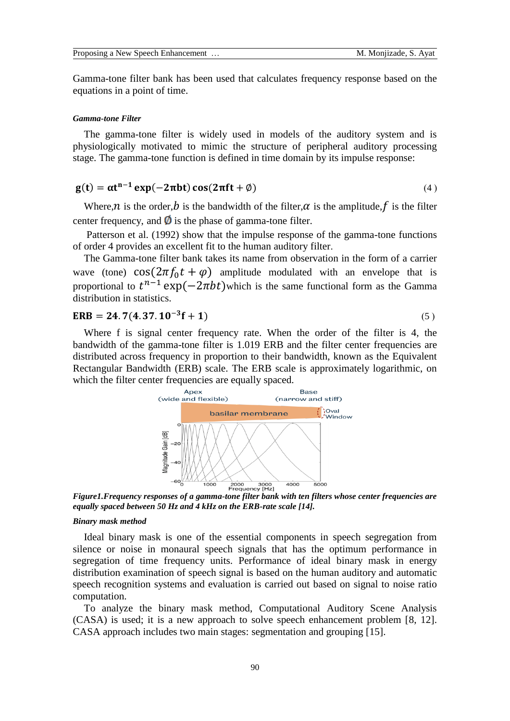Gamma-tone filter bank has been used that calculates frequency response based on the equations in a point of time.

### *Gamma-tone Filter*

The gamma-tone filter is widely used in models of the auditory system and is physiologically motivated to mimic the structure of peripheral auditory processing stage. The gamma-tone function is defined in time domain by its impulse response:

# $g(t) = \alpha t^{n-1} \exp(-2\pi bt) \cos(2\pi ft + \emptyset)$  (4)

Where,  $\hat{n}$  is the order,  $\hat{b}$  is the bandwidth of the filter,  $\alpha$  is the amplitude, f is the filter center frequency, and  $\emptyset$  is the phase of gamma-tone filter.

Patterson et al. (1992) show that the impulse response of the gamma-tone functions of order 4 provides an excellent fit to the human auditory filter.

The Gamma-tone filter bank takes its name from observation in the form of a carrier wave (tone)  $\cos(2\pi f_0 t + \varphi)$  amplitude modulated with an envelope that is proportional to  $t^{n-1}$  exp( $-2\pi bt$ )which is the same functional form as the Gamma distribution in statistics.

$$
ERB = 24.7(4.37.10^{-3}f + 1)
$$
 (5)

Where f is signal center frequency rate. When the order of the filter is 4, the bandwidth of the gamma-tone filter is 1.019 ERB and the filter center frequencies are distributed across frequency in proportion to their bandwidth, known as the Equivalent Rectangular Bandwidth (ERB) scale. The ERB scale is approximately logarithmic, on which the filter center frequencies are equally spaced.



*Figure1.Frequency responses of a gamma-tone filter bank with ten filters whose center frequencies are equally spaced between 50 Hz and 4 kHz on the ERB-rate scale [14].*

## *Binary mask method*

Ideal binary mask is one of the essential components in speech segregation from silence or noise in monaural speech signals that has the optimum performance in segregation of time frequency units. Performance of ideal binary mask in energy distribution examination of speech signal is based on the human auditory and automatic speech recognition systems and evaluation is carried out based on signal to noise ratio computation.

To analyze the binary mask method, Computational Auditory Scene Analysis (CASA) is used; it is a new approach to solve speech enhancement problem [8, 12]. CASA approach includes two main stages: segmentation and grouping [15].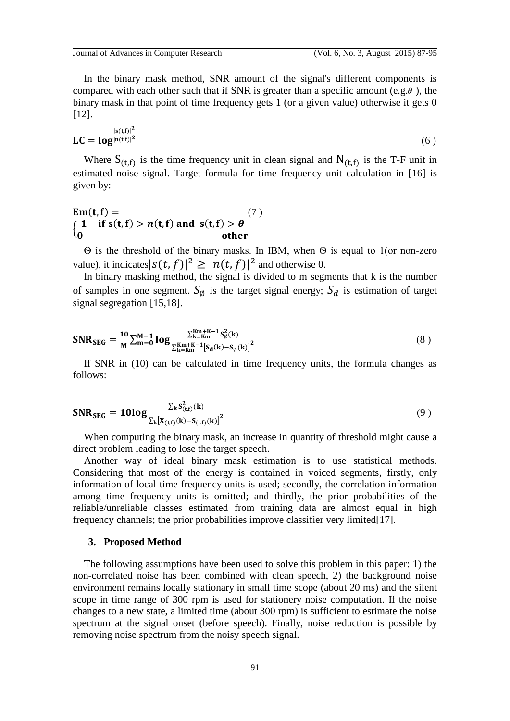In the binary mask method, SNR amount of the signal's different components is compared with each other such that if SNR is greater than a specific amount (e.g.  $\theta$ ), the binary mask in that point of time frequency gets 1 (or a given value) otherwise it gets 0 [12].

$$
\mathbf{LC} = \mathbf{log}^{\frac{|\mathbf{s}(\mathbf{t}, \mathbf{f})|^2}{|\mathbf{n}(\mathbf{t}, \mathbf{f})|^2}}
$$
(6)

Where  $S_{(t,f)}$  is the time frequency unit in clean signal and  $N_{(t,f)}$  is the T-F unit in estimated noise signal. Target formula for time frequency unit calculation in [16] is given by:

# **Em**(t, f) = (7)  $\int_{0}^{x} 1$  if  $s(t, f) > n(t, f)$  and  $s(t, f) > \theta$ 0 other

Ѳ is the threshold of the binary masks. In IBM, when Ѳ is equal to 1(or non-zero value), it indicates  $|s(t, f)|^2 \ge |n(t, f)|^2$  and otherwise 0.

In binary masking method, the signal is divided to m segments that  $k$  is the number of samples in one segment.  $S_{\emptyset}$  is the target signal energy;  $S_d$  is estimation of target signal segregation [15,18].

$$
\mathbf{SNR}_{\text{SEG}} = \frac{10}{M} \sum_{m=0}^{M-1} \log \frac{\sum_{k=Km}^{Km+K-1} S_{\emptyset}^{2}(k)}{\sum_{k=Km}^{Km+K-1} [S_{d}(k) - S_{\emptyset}(k)]^{2}}
$$
(8)

If SNR in (10) can be calculated in time frequency units, the formula changes as follows:

$$
\mathbf{SNR}_{\text{SEG}} = \mathbf{10log} \frac{\sum_{k} s_{(t,f)}^2(k)}{\sum_{k} [X_{(t,f)}(k) - S_{(t,f)}(k)]^2}
$$
(9)

When computing the binary mask, an increase in quantity of threshold might cause a direct problem leading to lose the target speech.

Another way of ideal binary mask estimation is to use statistical methods. Considering that most of the energy is contained in voiced segments, firstly, only information of local time frequency units is used; secondly, the correlation information among time frequency units is omitted; and thirdly, the prior probabilities of the reliable/unreliable classes estimated from training data are almost equal in high frequency channels; the prior probabilities improve classifier very limited[17].

### **3. Proposed Method**

The following assumptions have been used to solve this problem in this paper: 1) the non-correlated noise has been combined with clean speech, 2) the background noise environment remains locally stationary in small time scope (about 20 ms) and the silent scope in time range of 300 rpm is used for stationery noise computation. If the noise changes to a new state, a limited time (about 300 rpm) is sufficient to estimate the noise spectrum at the signal onset (before speech). Finally, noise reduction is possible by removing noise spectrum from the noisy speech signal.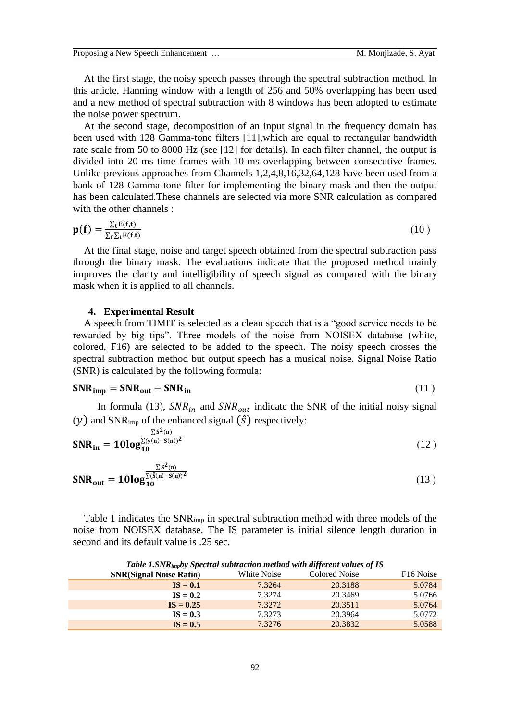At the first stage, the noisy speech passes through the spectral subtraction method. In this article, Hanning window with a length of 256 and 50% overlapping has been used and a new method of spectral subtraction with 8 windows has been adopted to estimate the noise power spectrum.

At the second stage, decomposition of an input signal in the frequency domain has been used with 128 Gamma-tone filters [11],which are equal to rectangular bandwidth rate scale from 50 to 8000 Hz (see [12] for details). In each filter channel, the output is divided into 20-ms time frames with 10-ms overlapping between consecutive frames. Unlike previous approaches from Channels 1,2,4,8,16,32,64,128 have been used from a bank of 128 Gamma-tone filter for implementing the binary mask and then the output has been calculated.These channels are selected via more SNR calculation as compared with the other channels :

$$
\mathbf{p}(\mathbf{f}) = \frac{\sum_{t} \mathbf{E}(\mathbf{f}, t)}{\sum_{f} \sum_{t} \mathbf{E}(\mathbf{f}, t)}
$$
(10)

At the final stage, noise and target speech obtained from the spectral subtraction pass through the binary mask. The evaluations indicate that the proposed method mainly improves the clarity and intelligibility of speech signal as compared with the binary mask when it is applied to all channels.

### **4. Experimental Result**

A speech from TIMIT is selected as a clean speech that is a "good service needs to be rewarded by big tips". Three models of the noise from NOISEX database (white, colored, F16) are selected to be added to the speech. The noisy speech crosses the spectral subtraction method but output speech has a musical noise. Signal Noise Ratio (SNR) is calculated by the following formula:

$$
SNR_{imp} = SNR_{out} - SNR_{in}
$$
 (11)

In formula (13),  $SNR_{in}$  and  $SNR_{out}$  indicate the SNR of the initial noisy signal  $(y)$  and SNR<sub>imp</sub> of the enhanced signal  $(\hat{S})$  respectively:

$$
SNR_{in} = 10log_{10}^{\frac{\sum S^{2}(n)}{\sum(y(n)-S(n))^{2}}}
$$
 (12)

$$
SNR_{out} = 10log_{10}^{\frac{\sum S^{2}(n)}{\sum (\hat{S}(n)-S(n))^{2}}}
$$
\n(13)

Table 1 indicates the SNRimp in spectral subtraction method with three models of the noise from NOISEX database. The IS parameter is initial silence length duration in second and its default value is .25 sec.

| <b>Table 1.</b> Dividendly Specified Subtraction memod with all ferent values of 15 |                                |             |               |                       |  |
|-------------------------------------------------------------------------------------|--------------------------------|-------------|---------------|-----------------------|--|
|                                                                                     | <b>SNR(Signal Noise Ratio)</b> | White Noise | Colored Noise | F <sub>16</sub> Noise |  |
|                                                                                     | $IS = 0.1$                     | 7.3264      | 20.3188       | 5.0784                |  |
|                                                                                     | $IS = 0.2$                     | 7.3274      | 20.3469       | 5.0766                |  |
|                                                                                     | $IS = 0.25$                    | 7.3272      | 20.3511       | 5.0764                |  |
|                                                                                     | $IS = 0.3$                     | 7.3273      | 20.3964       | 5.0772                |  |
|                                                                                     | $IS = 0.5$                     | 7.3276      | 20.3832       | 5.0588                |  |
|                                                                                     |                                |             |               |                       |  |

*Table 1.SNRimpby Spectral subtraction method with different values of IS*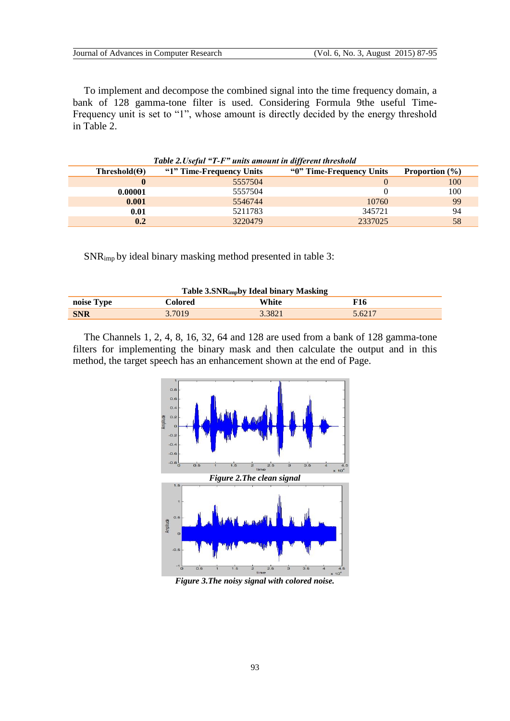To implement and decompose the combined signal into the time frequency domain, a bank of 128 gamma-tone filter is used. Considering Formula 9the useful Time-Frequency unit is set to "1", whose amount is directly decided by the energy threshold in Table 2.

| <b>Table 2. Useful "1-F" units amount in different threshold</b> |                          |                          |                          |  |  |  |  |
|------------------------------------------------------------------|--------------------------|--------------------------|--------------------------|--|--|--|--|
| Threshold( $\Theta$ )                                            | "1" Time-Frequency Units | "0" Time-Frequency Units | <b>Proportion</b> $(\%)$ |  |  |  |  |
|                                                                  | 5557504                  |                          | 100                      |  |  |  |  |
| 0.00001                                                          | 5557504                  |                          | 100                      |  |  |  |  |
| 0.001                                                            | 5546744                  | 10760                    | 99                       |  |  |  |  |
| 0.01                                                             | 5211783                  | 345721                   | 94                       |  |  |  |  |
| 0.2                                                              | 3220479                  | 2337025                  | 58                       |  |  |  |  |

*Table 2.Useful "T-F" units amount in different threshold*

SNRimp by ideal binary masking method presented in table 3:

| Table 3.SNRimpby Ideal binary Masking |         |        |        |  |  |  |
|---------------------------------------|---------|--------|--------|--|--|--|
| noise Type                            | Colored | White  | F16    |  |  |  |
| <b>SNR</b>                            | 3.7019  | 3.3821 | 5.6217 |  |  |  |

The Channels 1, 2, 4, 8, 16, 32, 64 and 128 are used from a bank of 128 gamma-tone filters for implementing the binary mask and then calculate the output and in this method, the target speech has an enhancement shown at the end of Page.



*Figure 3.The noisy signal with colored noise.*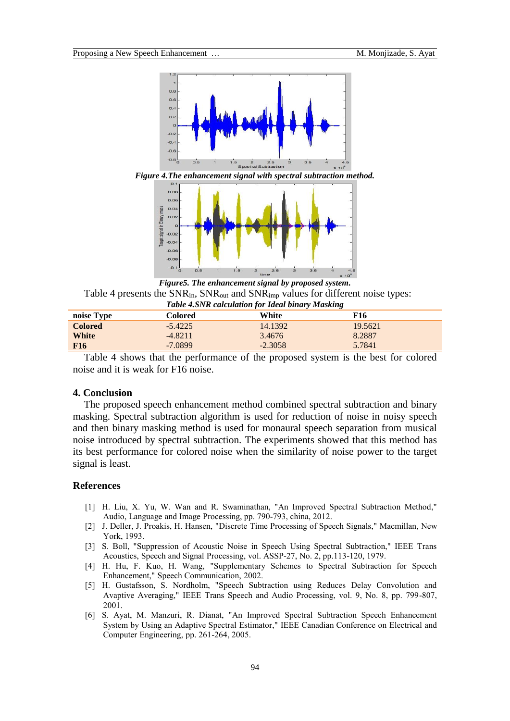

*Figure 4.The enhancement signal with spectral subtraction method.*



*Figure5. The enhancement signal by proposed system.* Table 4 presents the SNR<sub>in</sub>, SNR<sub>out</sub> and SNR<sub>imp</sub> values for different noise types:

| Table 4.SNR calculation for Ideal binary Masking |           |           |         |  |  |
|--------------------------------------------------|-----------|-----------|---------|--|--|
| noise Type                                       | Colored   | White     | F16     |  |  |
| <b>Colored</b>                                   | $-5.4225$ | 14.1392   | 19.5621 |  |  |
| White                                            | $-4.8211$ | 3.4676    | 8.2887  |  |  |
| <b>F16</b>                                       | $-7.0899$ | $-2.3058$ | 5.7841  |  |  |

Table 4 shows that the performance of the proposed system is the best for colored noise and it is weak for F16 noise.

# **4. Conclusion**

The proposed speech enhancement method combined spectral subtraction and binary masking. Spectral subtraction algorithm is used for reduction of noise in noisy speech and then binary masking method is used for monaural speech separation from musical noise introduced by spectral subtraction. The experiments showed that this method has its best performance for colored noise when the similarity of noise power to the target signal is least.

## **References**

- [1] H. Liu, X. Yu, W. Wan and R. Swaminathan, "An Improved Spectral Subtraction Method," Audio, Language and Image Processing, pp. 790-793, china, 2012.
- [2] J. Deller, J. Proakis, H. Hansen, "Discrete Time Processing of Speech Signals," Macmillan, New York, 1993.
- [3] S. Boll, "Suppression of Acoustic Noise in Speech Using Spectral Subtraction," IEEE Trans Acoustics, Speech and Signal Processing, vol. ASSP-27, No. 2, pp.113-120, 1979.
- [4] H. Hu, F. Kuo, H. Wang, "Supplementary Schemes to Spectral Subtraction for Speech Enhancement," Speech Communication, 2002.
- [5] H. Gustafsson, S. Nordholm, "Speech Subtraction using Reduces Delay Convolution and Avaptive Averaging," IEEE Trans Speech and Audio Processing, vol. 9, No. 8, pp. 799-807, 2001.
- [6] S. Ayat, M. Manzuri, R. Dianat, "An Improved Spectral Subtraction Speech Enhancement System by Using an Adaptive Spectral Estimator," IEEE Canadian Conference on Electrical and Computer Engineering, pp. 261-264, 2005.